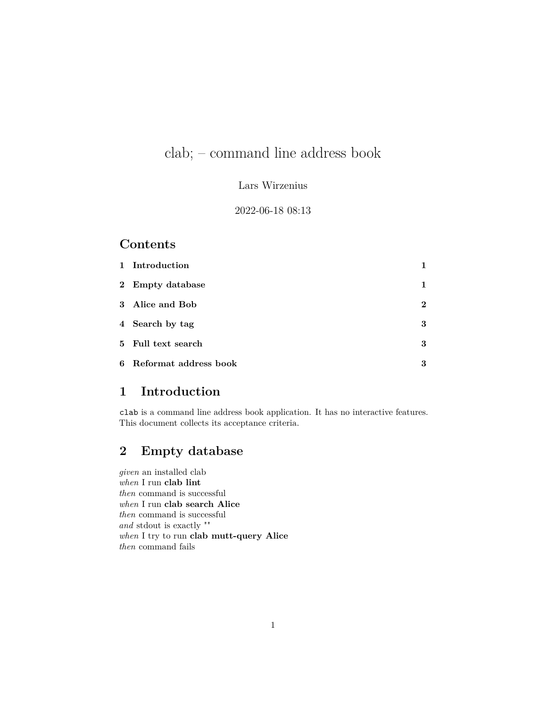# clab; – command line address book

#### Lars Wirzenius

#### 2022-06-18 08:13

### **Contents**

| 1 Introduction          |          |
|-------------------------|----------|
| 2 Empty database        | 1        |
| 3 Alice and Bob         | $\bf{2}$ |
| 4 Search by tag         | 3        |
| 5 Full text search      | 3        |
| 6 Reformat address book | 3        |

## <span id="page-0-0"></span>**1 Introduction**

clab is a command line address book application. It has no interactive features. This document collects its acceptance criteria.

## <span id="page-0-1"></span>**2 Empty database**

*given* an installed clab *when* I run **clab lint** *then* command is successful *when* I run **clab search Alice** *then* command is successful *and* stdout is exactly "" *when* I try to run **clab mutt-query Alice** *then* command fails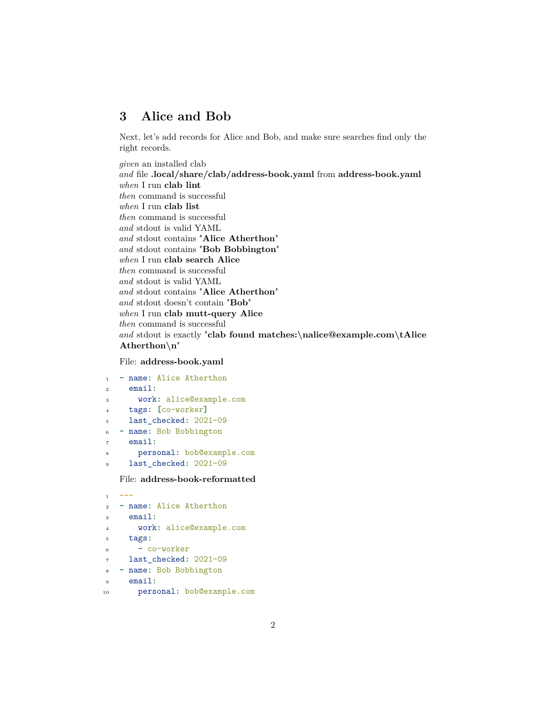### <span id="page-1-0"></span>**3 Alice and Bob**

Next, let's add records for Alice and Bob, and make sure searches find only the right records.

*given* an installed clab *and* file **.local/share/clab/address-book.yaml** from **address-book.yaml** *when* I run **clab lint** *then* command is successful *when* I run **clab list** *then* command is successful *and* stdout is valid YAML *and* stdout contains "**Alice Atherthon**" *and* stdout contains "**Bob Bobbington**" *when* I run **clab search Alice** *then* command is successful *and* stdout is valid YAML *and* stdout contains "**Alice Atherthon**" *and* stdout doesn't contain "**Bob**" *when* I run **clab mutt-query Alice** *then* command is successful *and* stdout is exactly "**clab found matches:\nalice@example.com\tAlice Atherthon\n**"

#### File: **address-book.yaml**

```
1 - name: Alice Atherthon
2 email:
3 work: alice@example.com
4 tags: [co-worker]
5 last_checked: 2021-09
6 - name: Bob Bobbington
    email:
8 personal: bob@example.com
9 last_checked: 2021-09
```
#### File: **address-book-reformatted**

```
1 - - -2 - name: Alice Atherthon
3 email:
      4 work: alice@example.com
5 tags:
6 - co-worker
7 last_checked: 2021-09
8 - name: Bob Bobbington
9 email:
10 personal: bob@example.com
```